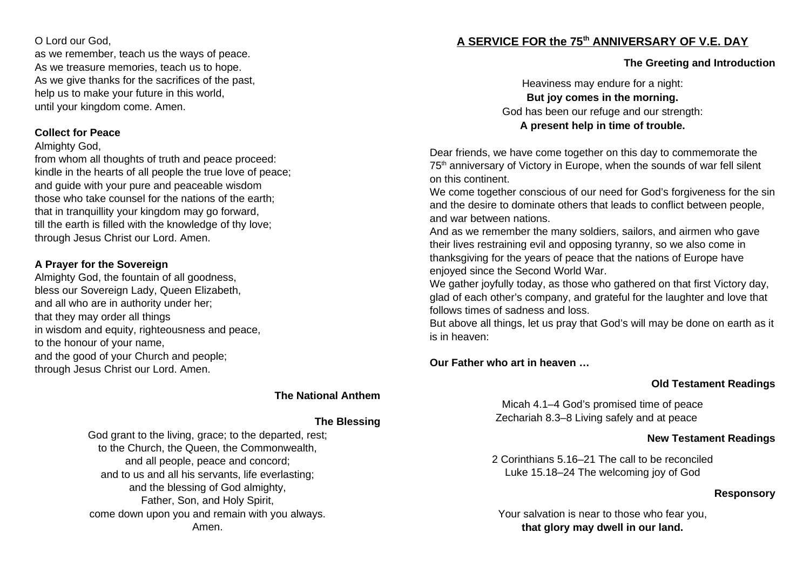O Lord our God,

as we remember, teach us the ways of peace. As we treasure memories, teach us to hope. As we give thanks for the sacrifices of the past, help us to make your future in this world, until your kingdom come. Amen.

#### **Collect for Peace**

#### Almighty God,

from whom all thoughts of truth and peace proceed: kindle in the hearts of all people the true love of peace; and guide with your pure and peaceable wisdom those who take counsel for the nations of the earth; that in tranquillity your kingdom may go forward, till the earth is filled with the knowledge of thy love; through Jesus Christ our Lord. Amen.

#### **A Prayer for the Sovereign**

Almighty God, the fountain of all goodness, bless our Sovereign Lady, Queen Elizabeth, and all who are in authority under her; that they may order all things in wisdom and equity, righteousness and peace, to the honour of your name, and the good of your Church and people; through Jesus Christ our Lord. Amen.

#### **The National Anthem**

#### **The Blessing**

God grant to the living, grace; to the departed, rest; to the Church, the Queen, the Commonwealth, and all people, peace and concord; and to us and all his servants, life everlasting; and the blessing of God almighty, Father, Son, and Holy Spirit, come down upon you and remain with you always. Amen.

# **A SERVICE FOR the 75th ANNIVERSARY OF V.E. DAY**

## **The Greeting and Introduction**

Heaviness may endure for a night: **But joy comes in the morning.** God has been our refuge and our strength: **A present help in time of trouble.**

Dear friends, we have come together on this day to commemorate the 75<sup>th</sup> anniversary of Victory in Europe, when the sounds of war fell silent on this continent.

We come together conscious of our need for God's forgiveness for the sin and the desire to dominate others that leads to conflict between people, and war between nations.

And as we remember the many soldiers, sailors, and airmen who gave their lives restraining evil and opposing tyranny, so we also come in thanksgiving for the years of peace that the nations of Europe have enjoyed since the Second World War.

We gather joyfully today, as those who gathered on that first Victory day, glad of each other's company, and grateful for the laughter and love that follows times of sadness and loss.

But above all things, let us pray that God's will may be done on earth as it is in heaven:

## **Our Father who art in heaven …**

## **Old Testament Readings**

Micah 4.1–4 God's promised time of peace Zechariah 8.3–8 Living safely and at peace

## **New Testament Readings**

2 Corinthians 5.16–21 The call to be reconciled Luke 15.18–24 The welcoming joy of God

## **Responsory**

Your salvation is near to those who fear you, **that glory may dwell in our land.**